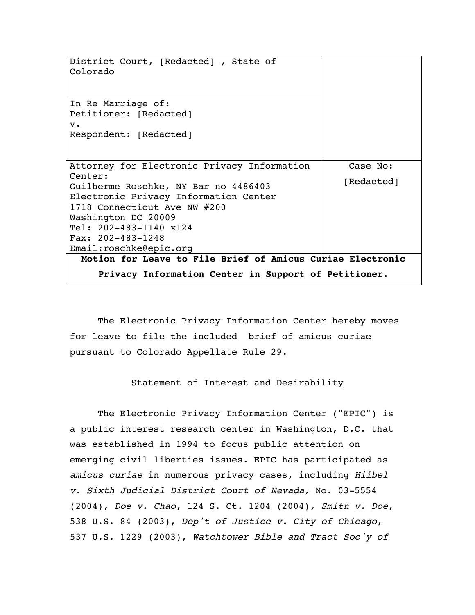| District Court, [Redacted], State of<br>Colorado           |            |
|------------------------------------------------------------|------------|
| In Re Marriage of:                                         |            |
| Petitioner: [Redacted]                                     |            |
| $V -$                                                      |            |
| Respondent: [Redacted]                                     |            |
|                                                            |            |
| Attorney for Electronic Privacy Information                | Case No:   |
| Center:                                                    | [Redacted] |
| Guilherme Roschke, NY Bar no 4486403                       |            |
| Electronic Privacy Information Center                      |            |
| 1718 Connecticut Ave NW #200                               |            |
| Washington DC 20009                                        |            |
| Tel: 202-483-1140 x124                                     |            |
| Fax: $202-483-1248$                                        |            |
| Email:roschke@epic.orq                                     |            |
| Motion for Leave to File Brief of Amicus Curiae Electronic |            |
| Privacy Information Center in Support of Petitioner.       |            |

The Electronic Privacy Information Center hereby moves for leave to file the included brief of amicus curiae pursuant to Colorado Appellate Rule 29.

### Statement of Interest and Desirability

The Electronic Privacy Information Center ("EPIC") is a public interest research center in Washington, D.C. that was established in 1994 to focus public attention on emerging civil liberties issues. EPIC has participated as amicus curiae in numerous privacy cases, including Hiibel v. Sixth Judicial District Court of Nevada, No. 03-5554 (2004), Doe v. Chao, 124 S. Ct. 1204 (2004), Smith v. Doe, 538 U.S. 84 (2003), Dep't of Justice v. City of Chicago, 537 U.S. 1229 (2003), Watchtower Bible and Tract Soc'y of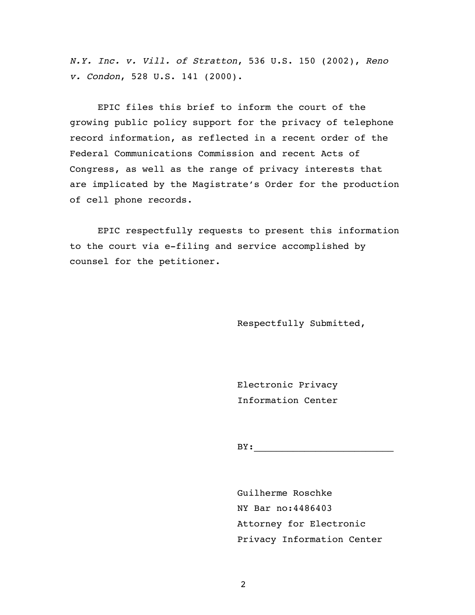N.Y. Inc. v. Vill. of Stratton, 536 U.S. 150 (2002), Reno v. Condon, 528 U.S. 141 (2000).

EPIC files this brief to inform the court of the growing public policy support for the privacy of telephone record information, as reflected in a recent order of the Federal Communications Commission and recent Acts of Congress, as well as the range of privacy interests that are implicated by the Magistrate's Order for the production of cell phone records.

EPIC respectfully requests to present this information to the court via e-filing and service accomplished by counsel for the petitioner.

Respectfully Submitted,

Electronic Privacy Information Center

 $BY:$ 

Guilherme Roschke NY Bar no:4486403 Attorney for Electronic Privacy Information Center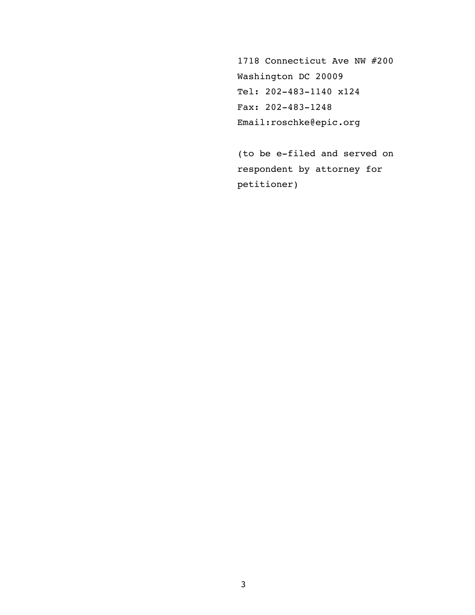1718 Connecticut Ave NW #200 Washington DC 20009 Tel: 202-483-1140 x124 Fax: 202-483-1248 Email:roschke@epic.org

(to be e-filed and served on respondent by attorney for petitioner)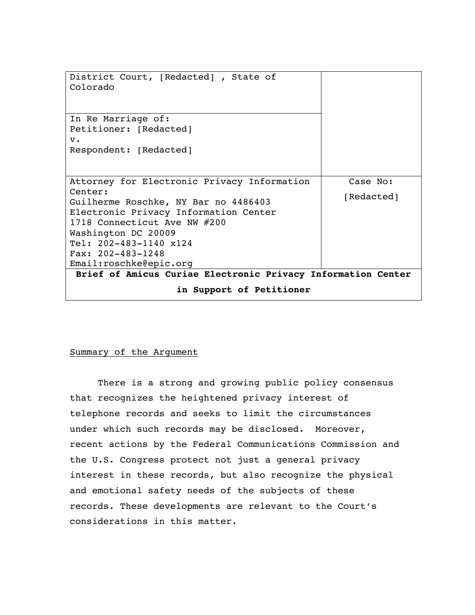| District Court, [Redacted], State of<br>Colorado             |            |
|--------------------------------------------------------------|------------|
| In Re Marriage of:                                           |            |
| Petitioner: [Redacted]                                       |            |
| $V$ .                                                        |            |
| Respondent: [Redacted]                                       |            |
|                                                              |            |
| Attorney for Electronic Privacy Information                  | Case No:   |
| Center:                                                      | [Redacted] |
| Guilherme Roschke, NY Bar no 4486403                         |            |
| Electronic Privacy Information Center                        |            |
| 1718 Connecticut Ave NW #200                                 |            |
| Washington DC 20009                                          |            |
| Tel: 202-483-1140 x124                                       |            |
| Fax: $202-483-1248$                                          |            |
| Email:roschke@epic.orq                                       |            |
| Brief of Amicus Curiae Electronic Privacy Information Center |            |
| in Support of Petitioner                                     |            |

### Summary of the Argument

There is a strong and growing public policy consensus that recognizes the heightened privacy interest of telephone records and seeks to limit the circumstances under which such records may be disclosed. Moreover, recent actions by the Federal Communications Commission and the U.S. Congress protect not just a general privacy interest in these records, but also recognize the physical and emotional safety needs of the subjects of these records. These developments are relevant to the Court's considerations in this matter.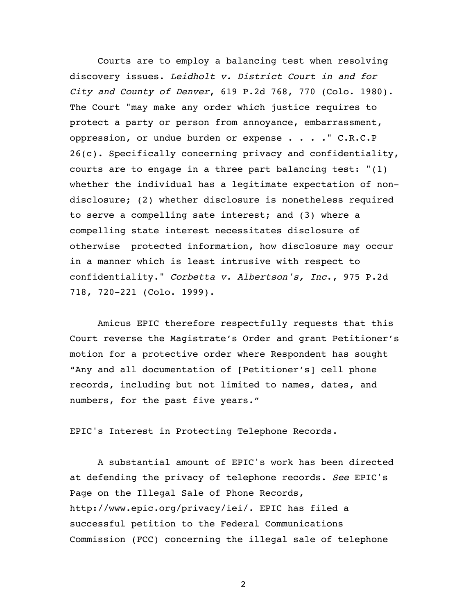Courts are to employ a balancing test when resolving discovery issues. Leidholt v. District Court in and for City and County of Denver,  $619$  P.2d 768, 770 (Colo. 1980). The Court "may make any order which justice requires to protect a party or person from annoyance, embarrassment, oppression, or undue burden or expense . . . ." C.R.C.P 26(c). Specifically concerning privacy and confidentiality, courts are to engage in a three part balancing test: "(1) whether the individual has a legitimate expectation of nondisclosure; (2) whether disclosure is nonetheless required to serve a compelling sate interest; and (3) where a compelling state interest necessitates disclosure of otherwise protected information, how disclosure may occur in a manner which is least intrusive with respect to confidentiality." Corbetta v. Albertson's, Inc., 975 P.2d 718, 720-221 (Colo. 1999).

Amicus EPIC therefore respectfully requests that this Court reverse the Magistrate's Order and grant Petitioner's motion for a protective order where Respondent has sought "Any and all documentation of [Petitioner's] cell phone records, including but not limited to names, dates, and numbers, for the past five years."

#### EPIC's Interest in Protecting Telephone Records.

A substantial amount of EPIC's work has been directed at defending the privacy of telephone records. See EPIC's Page on the Illegal Sale of Phone Records, http://www.epic.org/privacy/iei/. EPIC has filed a successful petition to the Federal Communications Commission (FCC) concerning the illegal sale of telephone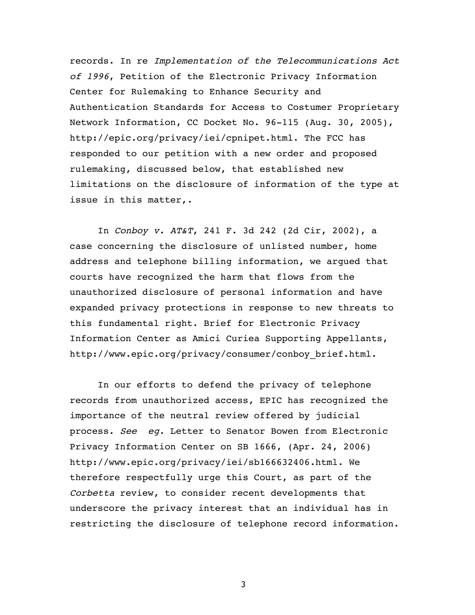records. In re Implementation of the Telecommunications Act of 1996, Petition of the Electronic Privacy Information Center for Rulemaking to Enhance Security and Authentication Standards for Access to Costumer Proprietary Network Information, CC Docket No. 96-115 (Aug. 30, 2005), http://epic.org/privacy/iei/cpnipet.html. The FCC has responded to our petition with a new order and proposed rulemaking, discussed below, that established new limitations on the disclosure of information of the type at issue in this matter,.

In Conboy v. AT&T, 241 F. 3d 242 (2d Cir, 2002), a case concerning the disclosure of unlisted number, home address and telephone billing information, we argued that courts have recognized the harm that flows from the unauthorized disclosure of personal information and have expanded privacy protections in response to new threats to this fundamental right. Brief for Electronic Privacy Information Center as Amici Curiea Supporting Appellants, http://www.epic.org/privacy/consumer/conboy\_brief.html.

In our efforts to defend the privacy of telephone records from unauthorized access, EPIC has recognized the importance of the neutral review offered by judicial process. See eq. Letter to Senator Bowen from Electronic Privacy Information Center on SB 1666, (Apr. 24, 2006) http://www.epic.org/privacy/iei/sb166632406.html. We therefore respectfully urge this Court, as part of the Corbetta review, to consider recent developments that underscore the privacy interest that an individual has in restricting the disclosure of telephone record information.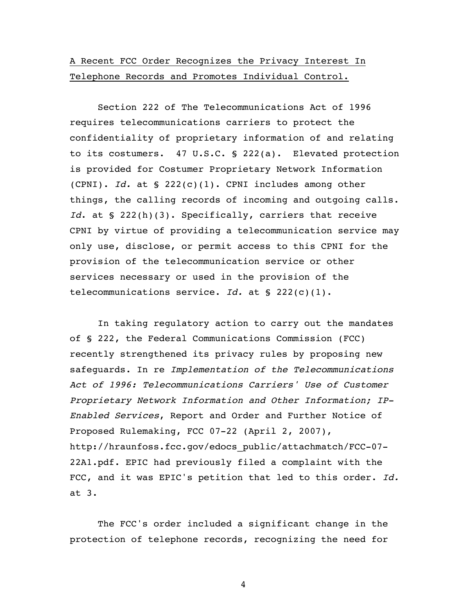## A Recent FCC Order Recognizes the Privacy Interest In Telephone Records and Promotes Individual Control.

Section 222 of The Telecommunications Act of 1996 requires telecommunications carriers to protect the confidentiality of proprietary information of and relating to its costumers. 47 U.S.C. § 222(a). Elevated protection is provided for Costumer Proprietary Network Information  $(CPNI)$ . Id. at § 222(c)(1). CPNI includes among other things, the calling records of incoming and outgoing calls. Id. at  $\S$  222(h)(3). Specifically, carriers that receive CPNI by virtue of providing a telecommunication service may only use, disclose, or permit access to this CPNI for the provision of the telecommunication service or other services necessary or used in the provision of the telecommunications service. Id. at  $\S$  222(c)(1).

In taking regulatory action to carry out the mandates of § 222, the Federal Communications Commission (FCC) recently strengthened its privacy rules by proposing new safequards. In re Implementation of the Telecommunications Act of 1996: Telecommunications Carriers' Use of Customer Proprietary Network Information and Other Information; IP-Enabled Services, Report and Order and Further Notice of Proposed Rulemaking, FCC 07-22 (April 2, 2007), http://hraunfoss.fcc.gov/edocs\_public/attachmatch/FCC-07- 22A1.pdf. EPIC had previously filed a complaint with the FCC, and it was EPIC's petition that led to this order. Id. at 3.

The FCC's order included a significant change in the protection of telephone records, recognizing the need for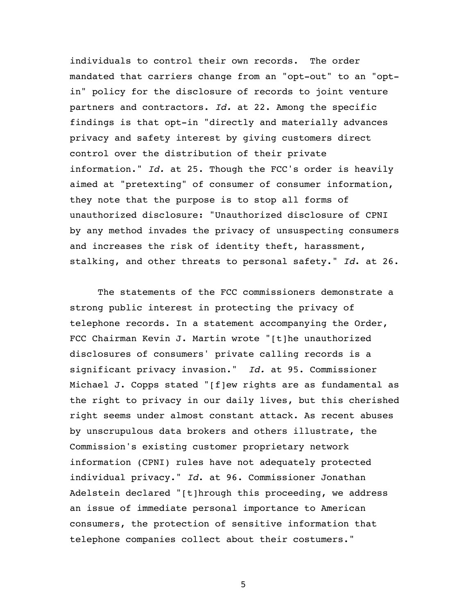individuals to control their own records. The order mandated that carriers change from an "opt-out" to an "optin" policy for the disclosure of records to joint venture partners and contractors. Id. at 22. Among the specific findings is that opt-in "directly and materially advances privacy and safety interest by giving customers direct control over the distribution of their private information." Id. at 25. Though the FCC's order is heavily aimed at "pretexting" of consumer of consumer information, they note that the purpose is to stop all forms of unauthorized disclosure: "Unauthorized disclosure of CPNI by any method invades the privacy of unsuspecting consumers and increases the risk of identity theft, harassment, stalking, and other threats to personal safety." Id. at 26.

The statements of the FCC commissioners demonstrate a strong public interest in protecting the privacy of telephone records. In a statement accompanying the Order, FCC Chairman Kevin J. Martin wrote "[t]he unauthorized disclosures of consumers' private calling records is a significant privacy invasion." Id. at 95. Commissioner Michael J. Copps stated "[f]ew rights are as fundamental as the right to privacy in our daily lives, but this cherished right seems under almost constant attack. As recent abuses by unscrupulous data brokers and others illustrate, the Commission's existing customer proprietary network information (CPNI) rules have not adequately protected individual privacy." Id. at 96. Commissioner Jonathan Adelstein declared "[t]hrough this proceeding, we address an issue of immediate personal importance to American consumers, the protection of sensitive information that telephone companies collect about their costumers."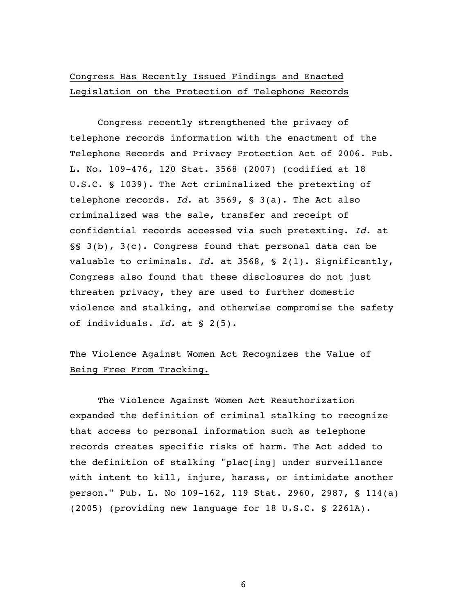# Congress Has Recently Issued Findings and Enacted Legislation on the Protection of Telephone Records

Congress recently strengthened the privacy of telephone records information with the enactment of the Telephone Records and Privacy Protection Act of 2006. Pub. L. No. 109-476, 120 Stat. 3568 (2007) (codified at 18 U.S.C. § 1039). The Act criminalized the pretexting of telephone records. Id. at 3569,  $\S$  3(a). The Act also criminalized was the sale, transfer and receipt of confidential records accessed via such pretexting. Id. at §§ 3(b), 3(c). Congress found that personal data can be valuable to criminals. Id. at 3568, § 2(1). Significantly, Congress also found that these disclosures do not just threaten privacy, they are used to further domestic violence and stalking, and otherwise compromise the safety of individuals.  $Id.$  at § 2(5).

### The Violence Against Women Act Recognizes the Value of Being Free From Tracking.

The Violence Against Women Act Reauthorization expanded the definition of criminal stalking to recognize that access to personal information such as telephone records creates specific risks of harm. The Act added to the definition of stalking "plac[ing] under surveillance with intent to kill, injure, harass, or intimidate another person." Pub. L. No 109-162, 119 Stat. 2960, 2987, § 114(a) (2005) (providing new language for 18 U.S.C. § 2261A).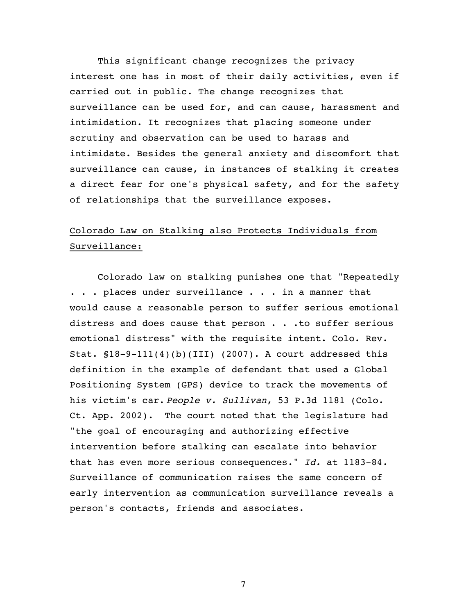This significant change recognizes the privacy interest one has in most of their daily activities, even if carried out in public. The change recognizes that surveillance can be used for, and can cause, harassment and intimidation. It recognizes that placing someone under scrutiny and observation can be used to harass and intimidate. Besides the general anxiety and discomfort that surveillance can cause, in instances of stalking it creates a direct fear for one's physical safety, and for the safety of relationships that the surveillance exposes.

# Colorado Law on Stalking also Protects Individuals from Surveillance:

Colorado law on stalking punishes one that "Repeatedly ... places under surveillance ... in a manner that would cause a reasonable person to suffer serious emotional distress and does cause that person . . .to suffer serious emotional distress" with the requisite intent. Colo. Rev. Stat. §18-9-111(4)(b)(III) (2007). A court addressed this definition in the example of defendant that used a Global Positioning System (GPS) device to track the movements of his victim's car. People v. Sullivan, 53 P.3d 1181 (Colo. Ct. App. 2002). The court noted that the legislature had "the goal of encouraging and authorizing effective intervention before stalking can escalate into behavior that has even more serious consequences." Id. at 1183-84. Surveillance of communication raises the same concern of early intervention as communication surveillance reveals a person's contacts, friends and associates.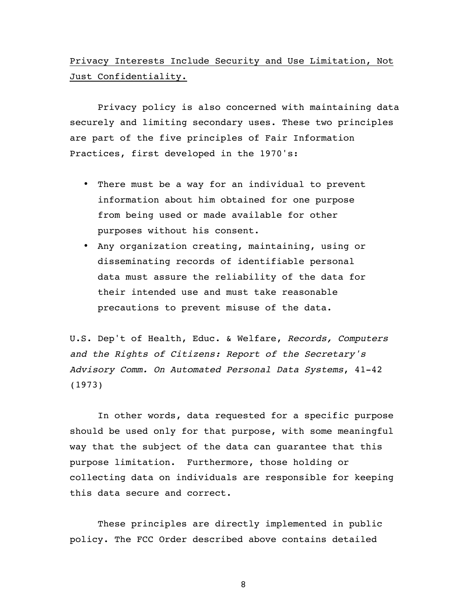# Privacy Interests Include Security and Use Limitation, Not Just Confidentiality.

Privacy policy is also concerned with maintaining data securely and limiting secondary uses. These two principles are part of the five principles of Fair Information Practices, first developed in the 1970's:

- There must be a way for an individual to prevent information about him obtained for one purpose from being used or made available for other purposes without his consent.
- Any organization creating, maintaining, using or disseminating records of identifiable personal data must assure the reliability of the data for their intended use and must take reasonable precautions to prevent misuse of the data.

U.S. Dep't of Health, Educ. & Welfare, Records, Computers and the Rights of Citizens: Report of the Secretary's Advisory Comm. On Automated Personal Data Systems, 41-42 (1973)

In other words, data requested for a specific purpose should be used only for that purpose, with some meaningful way that the subject of the data can guarantee that this purpose limitation. Furthermore, those holding or collecting data on individuals are responsible for keeping this data secure and correct.

These principles are directly implemented in public policy. The FCC Order described above contains detailed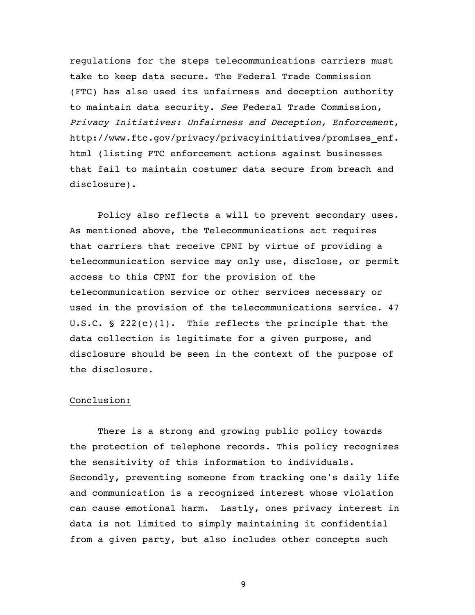regulations for the steps telecommunications carriers must take to keep data secure. The Federal Trade Commission (FTC) has also used its unfairness and deception authority to maintain data security. See Federal Trade Commission, Privacy Initiatives: Unfairness and Deception, Enforcement, http://www.ftc.gov/privacy/privacyinitiatives/promises\_enf. html (listing FTC enforcement actions against businesses that fail to maintain costumer data secure from breach and disclosure).

Policy also reflects a will to prevent secondary uses. As mentioned above, the Telecommunications act requires that carriers that receive CPNI by virtue of providing a telecommunication service may only use, disclose, or permit access to this CPNI for the provision of the telecommunication service or other services necessary or used in the provision of the telecommunications service. 47 U.S.C.  $\S 222(c)(1)$ . This reflects the principle that the data collection is legitimate for a given purpose, and disclosure should be seen in the context of the purpose of the disclosure.

#### Conclusion:

There is a strong and growing public policy towards the protection of telephone records. This policy recognizes the sensitivity of this information to individuals. Secondly, preventing someone from tracking one's daily life and communication is a recognized interest whose violation can cause emotional harm. Lastly, ones privacy interest in data is not limited to simply maintaining it confidential from a given party, but also includes other concepts such